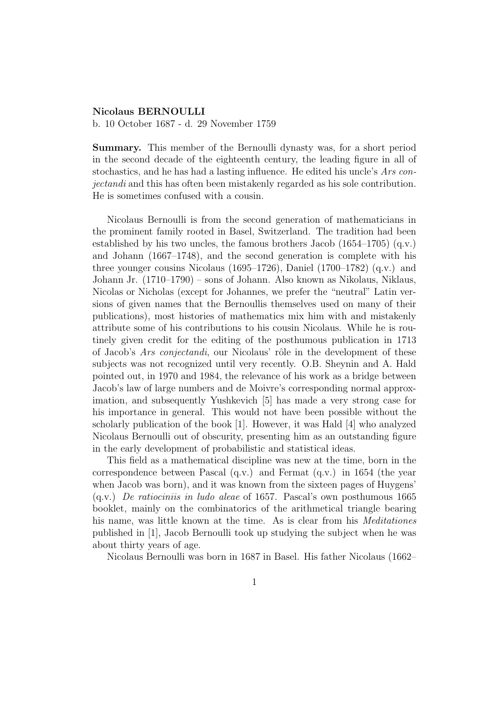## Nicolaus BERNOULLI

b. 10 October 1687 - d. 29 November 1759

Summary. This member of the Bernoulli dynasty was, for a short period in the second decade of the eighteenth century, the leading figure in all of stochastics, and he has had a lasting influence. He edited his uncle's Ars conjectandi and this has often been mistakenly regarded as his sole contribution. He is sometimes confused with a cousin.

Nicolaus Bernoulli is from the second generation of mathematicians in the prominent family rooted in Basel, Switzerland. The tradition had been established by his two uncles, the famous brothers Jacob  $(1654-1705)$   $(q.v.)$ and Johann (1667–1748), and the second generation is complete with his three younger cousins Nicolaus (1695–1726), Daniel (1700–1782) (q.v.) and Johann Jr. (1710–1790) – sons of Johann. Also known as Nikolaus, Niklaus, Nicolas or Nicholas (except for Johannes, we prefer the "neutral" Latin versions of given names that the Bernoullis themselves used on many of their publications), most histories of mathematics mix him with and mistakenly attribute some of his contributions to his cousin Nicolaus. While he is routinely given credit for the editing of the posthumous publication in 1713 of Jacob's Ars conjectandi, our Nicolaus' rôle in the development of these subjects was not recognized until very recently. O.B. Sheynin and A. Hald pointed out, in 1970 and 1984, the relevance of his work as a bridge between Jacob's law of large numbers and de Moivre's corresponding normal approximation, and subsequently Yushkevich [5] has made a very strong case for his importance in general. This would not have been possible without the scholarly publication of the book [1]. However, it was Hald [4] who analyzed Nicolaus Bernoulli out of obscurity, presenting him as an outstanding figure in the early development of probabilistic and statistical ideas.

This field as a mathematical discipline was new at the time, born in the correspondence between Pascal (q.v.) and Fermat (q.v.) in 1654 (the year when Jacob was born), and it was known from the sixteen pages of Huygens' (q.v.) De ratiociniis in ludo aleae of 1657. Pascal's own posthumous 1665 booklet, mainly on the combinatorics of the arithmetical triangle bearing his name, was little known at the time. As is clear from his *Meditationes* published in [1], Jacob Bernoulli took up studying the subject when he was about thirty years of age.

Nicolaus Bernoulli was born in 1687 in Basel. His father Nicolaus (1662–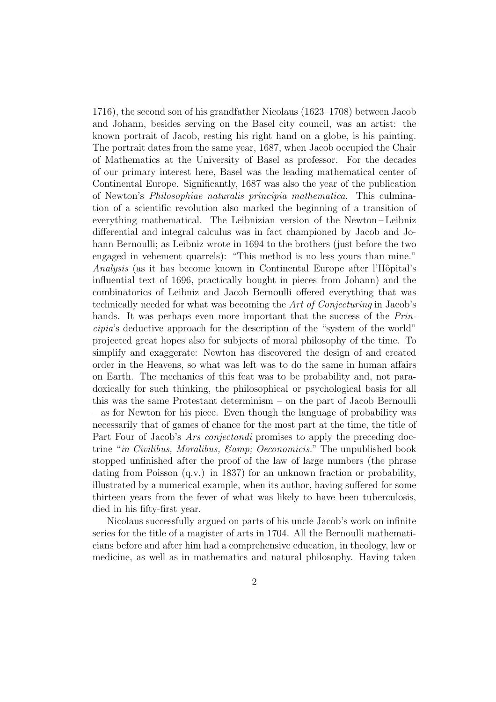1716), the second son of his grandfather Nicolaus (1623–1708) between Jacob and Johann, besides serving on the Basel city council, was an artist: the known portrait of Jacob, resting his right hand on a globe, is his painting. The portrait dates from the same year, 1687, when Jacob occupied the Chair of Mathematics at the University of Basel as professor. For the decades of our primary interest here, Basel was the leading mathematical center of Continental Europe. Significantly, 1687 was also the year of the publication of Newton's Philosophiae naturalis principia mathematica. This culmination of a scientific revolution also marked the beginning of a transition of everything mathematical. The Leibnizian version of the Newton – Leibniz differential and integral calculus was in fact championed by Jacob and Johann Bernoulli; as Leibniz wrote in 1694 to the brothers (just before the two engaged in vehement quarrels): "This method is no less yours than mine." Analysis (as it has become known in Continental Europe after l'Hôpital's influential text of 1696, practically bought in pieces from Johann) and the combinatorics of Leibniz and Jacob Bernoulli offered everything that was technically needed for what was becoming the Art of Conjecturing in Jacob's hands. It was perhaps even more important that the success of the *Prin*cipia's deductive approach for the description of the "system of the world" projected great hopes also for subjects of moral philosophy of the time. To simplify and exaggerate: Newton has discovered the design of and created order in the Heavens, so what was left was to do the same in human affairs on Earth. The mechanics of this feat was to be probability and, not paradoxically for such thinking, the philosophical or psychological basis for all this was the same Protestant determinism – on the part of Jacob Bernoulli – as for Newton for his piece. Even though the language of probability was necessarily that of games of chance for the most part at the time, the title of Part Four of Jacob's Ars conjectandi promises to apply the preceding doctrine "in Civilibus, Moralibus, Eamp; Oeconomicis." The unpublished book stopped unfinished after the proof of the law of large numbers (the phrase dating from Poisson (q.v.) in 1837) for an unknown fraction or probability, illustrated by a numerical example, when its author, having suffered for some thirteen years from the fever of what was likely to have been tuberculosis, died in his fifty-first year.

Nicolaus successfully argued on parts of his uncle Jacob's work on infinite series for the title of a magister of arts in 1704. All the Bernoulli mathematicians before and after him had a comprehensive education, in theology, law or medicine, as well as in mathematics and natural philosophy. Having taken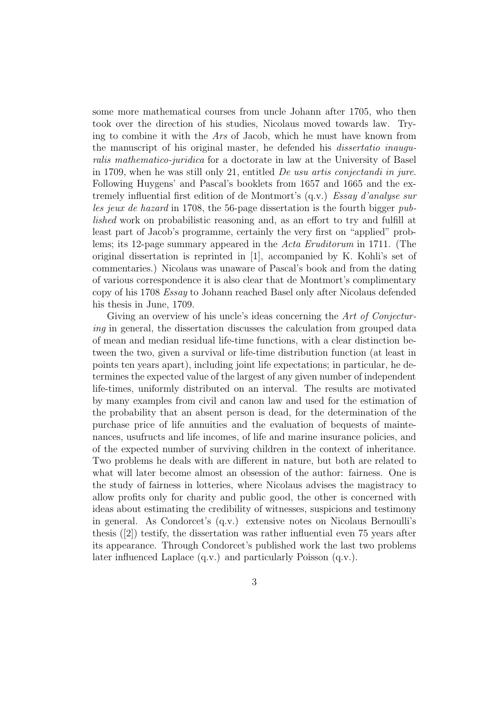some more mathematical courses from uncle Johann after 1705, who then took over the direction of his studies, Nicolaus moved towards law. Trying to combine it with the  $\text{Ans}$  of Jacob, which he must have known from the manuscript of his original master, he defended his dissertatio inauguralis mathematico-juridica for a doctorate in law at the University of Basel in 1709, when he was still only 21, entitled De usu artis conjectandi in jure. Following Huygens' and Pascal's booklets from 1657 and 1665 and the extremely influential first edition of de Montmort's (q.v.) Essay d'analyse sur les jeux de hazard in 1708, the 56-page dissertation is the fourth bigger published work on probabilistic reasoning and, as an effort to try and fulfill at least part of Jacob's programme, certainly the very first on "applied" problems; its 12-page summary appeared in the Acta Eruditorum in 1711. (The original dissertation is reprinted in [1], accompanied by K. Kohli's set of commentaries.) Nicolaus was unaware of Pascal's book and from the dating of various correspondence it is also clear that de Montmort's complimentary copy of his 1708 Essay to Johann reached Basel only after Nicolaus defended his thesis in June, 1709.

Giving an overview of his uncle's ideas concerning the Art of Conjecturing in general, the dissertation discusses the calculation from grouped data of mean and median residual life-time functions, with a clear distinction between the two, given a survival or life-time distribution function (at least in points ten years apart), including joint life expectations; in particular, he determines the expected value of the largest of any given number of independent life-times, uniformly distributed on an interval. The results are motivated by many examples from civil and canon law and used for the estimation of the probability that an absent person is dead, for the determination of the purchase price of life annuities and the evaluation of bequests of maintenances, usufructs and life incomes, of life and marine insurance policies, and of the expected number of surviving children in the context of inheritance. Two problems he deals with are different in nature, but both are related to what will later become almost an obsession of the author: fairness. One is the study of fairness in lotteries, where Nicolaus advises the magistracy to allow profits only for charity and public good, the other is concerned with ideas about estimating the credibility of witnesses, suspicions and testimony in general. As Condorcet's (q.v.) extensive notes on Nicolaus Bernoulli's thesis  $([2])$  testify, the dissertation was rather influential even 75 years after its appearance. Through Condorcet's published work the last two problems later influenced Laplace (q.v.) and particularly Poisson (q.v.).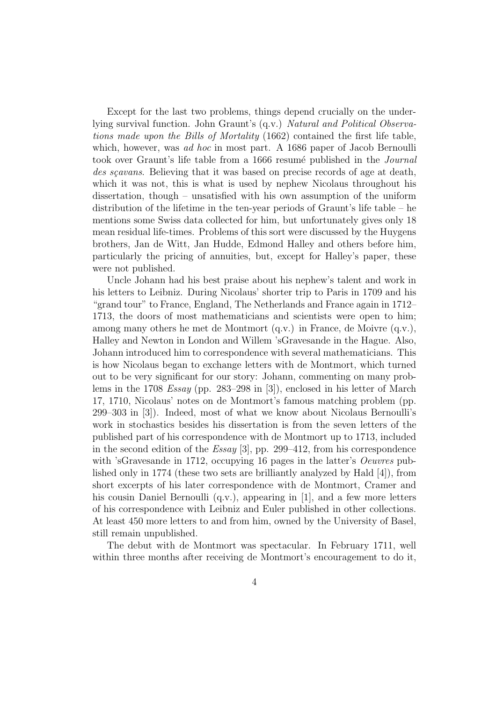Except for the last two problems, things depend crucially on the underlying survival function. John Graunt's (q.v.) Natural and Political Observations made upon the Bills of Mortality (1662) contained the first life table, which, however, was ad hoc in most part. A 1686 paper of Jacob Bernoulli took over Graunt's life table from a 1666 resumé published in the *Journal* des sçavans. Believing that it was based on precise records of age at death, which it was not, this is what is used by nephew Nicolaus throughout his dissertation, though – unsatisfied with his own assumption of the uniform distribution of the lifetime in the ten-year periods of Graunt's life table – he mentions some Swiss data collected for him, but unfortunately gives only 18 mean residual life-times. Problems of this sort were discussed by the Huygens brothers, Jan de Witt, Jan Hudde, Edmond Halley and others before him, particularly the pricing of annuities, but, except for Halley's paper, these were not published.

Uncle Johann had his best praise about his nephew's talent and work in his letters to Leibniz. During Nicolaus' shorter trip to Paris in 1709 and his "grand tour" to France, England, The Netherlands and France again in 1712– 1713, the doors of most mathematicians and scientists were open to him; among many others he met de Montmort (q.v.) in France, de Moivre (q.v.), Halley and Newton in London and Willem 'sGravesande in the Hague. Also, Johann introduced him to correspondence with several mathematicians. This is how Nicolaus began to exchange letters with de Montmort, which turned out to be very significant for our story: Johann, commenting on many problems in the 1708 Essay (pp. 283–298 in [3]), enclosed in his letter of March 17, 1710, Nicolaus' notes on de Montmort's famous matching problem (pp. 299–303 in [3]). Indeed, most of what we know about Nicolaus Bernoulli's work in stochastics besides his dissertation is from the seven letters of the published part of his correspondence with de Montmort up to 1713, included in the second edition of the Essay [3], pp. 299–412, from his correspondence with 'sGravesande in 1712, occupying 16 pages in the latter's *Oeuvres* published only in 1774 (these two sets are brilliantly analyzed by Hald [4]), from short excerpts of his later correspondence with de Montmort, Cramer and his cousin Daniel Bernoulli  $(q.v.)$ , appearing in [1], and a few more letters of his correspondence with Leibniz and Euler published in other collections. At least 450 more letters to and from him, owned by the University of Basel, still remain unpublished.

The debut with de Montmort was spectacular. In February 1711, well within three months after receiving de Montmort's encouragement to do it,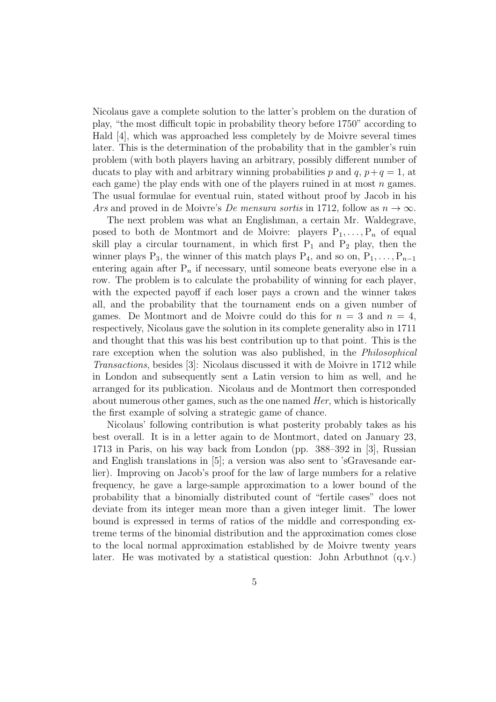Nicolaus gave a complete solution to the latter's problem on the duration of play, "the most difficult topic in probability theory before 1750" according to Hald [4], which was approached less completely by de Moivre several times later. This is the determination of the probability that in the gambler's ruin problem (with both players having an arbitrary, possibly different number of ducats to play with and arbitrary winning probabilities p and q,  $p+q = 1$ , at each game) the play ends with one of the players ruined in at most n games. The usual formulae for eventual ruin, stated without proof by Jacob in his Ars and proved in de Moivre's De mensura sortis in 1712, follow as  $n \to \infty$ .

The next problem was what an Englishman, a certain Mr. Waldegrave, posed to both de Montmort and de Moivre: players  $P_1, \ldots, P_n$  of equal skill play a circular tournament, in which first  $P_1$  and  $P_2$  play, then the winner plays P<sub>3</sub>, the winner of this match plays P<sub>4</sub>, and so on, P<sub>1</sub>, ..., P<sub>n−1</sub> entering again after  $P_n$  if necessary, until someone beats everyone else in a row. The problem is to calculate the probability of winning for each player, with the expected payoff if each loser pays a crown and the winner takes all, and the probability that the tournament ends on a given number of games. De Montmort and de Moivre could do this for  $n = 3$  and  $n = 4$ , respectively, Nicolaus gave the solution in its complete generality also in 1711 and thought that this was his best contribution up to that point. This is the rare exception when the solution was also published, in the Philosophical Transactions, besides [3]: Nicolaus discussed it with de Moivre in 1712 while in London and subsequently sent a Latin version to him as well, and he arranged for its publication. Nicolaus and de Montmort then corresponded about numerous other games, such as the one named Her, which is historically the first example of solving a strategic game of chance.

Nicolaus' following contribution is what posterity probably takes as his best overall. It is in a letter again to de Montmort, dated on January 23, 1713 in Paris, on his way back from London (pp. 388–392 in [3], Russian and English translations in [5]; a version was also sent to 'sGravesande earlier). Improving on Jacob's proof for the law of large numbers for a relative frequency, he gave a large-sample approximation to a lower bound of the probability that a binomially distributed count of "fertile cases" does not deviate from its integer mean more than a given integer limit. The lower bound is expressed in terms of ratios of the middle and corresponding extreme terms of the binomial distribution and the approximation comes close to the local normal approximation established by de Moivre twenty years later. He was motivated by a statistical question: John Arbuthnot  $(q.v.)$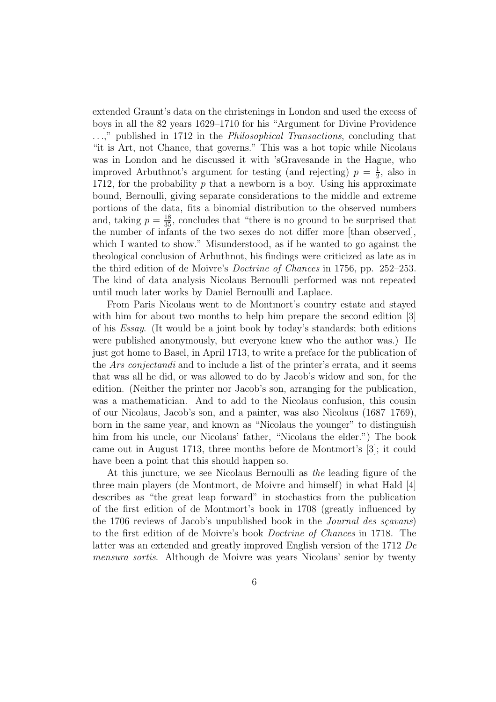extended Graunt's data on the christenings in London and used the excess of boys in all the 82 years 1629–1710 for his "Argument for Divine Providence . . .," published in 1712 in the Philosophical Transactions, concluding that "it is Art, not Chance, that governs." This was a hot topic while Nicolaus was in London and he discussed it with 'sGravesande in the Hague, who improved Arbuthnot's argument for testing (and rejecting)  $p = \frac{1}{2}$  $\frac{1}{2}$ , also in 1712, for the probability  $p$  that a newborn is a boy. Using his approximate bound, Bernoulli, giving separate considerations to the middle and extreme portions of the data, fits a binomial distribution to the observed numbers and, taking  $p = \frac{18}{35}$ , concludes that "there is no ground to be surprised that the number of infants of the two sexes do not differ more [than observed], which I wanted to show." Misunderstood, as if he wanted to go against the theological conclusion of Arbuthnot, his findings were criticized as late as in the third edition of de Moivre's Doctrine of Chances in 1756, pp. 252–253. The kind of data analysis Nicolaus Bernoulli performed was not repeated until much later works by Daniel Bernoulli and Laplace.

From Paris Nicolaus went to de Montmort's country estate and stayed with him for about two months to help him prepare the second edition [3] of his Essay. (It would be a joint book by today's standards; both editions were published anonymously, but everyone knew who the author was.) He just got home to Basel, in April 1713, to write a preface for the publication of the Ars conjectandi and to include a list of the printer's errata, and it seems that was all he did, or was allowed to do by Jacob's widow and son, for the edition. (Neither the printer nor Jacob's son, arranging for the publication, was a mathematician. And to add to the Nicolaus confusion, this cousin of our Nicolaus, Jacob's son, and a painter, was also Nicolaus (1687–1769), born in the same year, and known as "Nicolaus the younger" to distinguish him from his uncle, our Nicolaus' father, "Nicolaus the elder.") The book came out in August 1713, three months before de Montmort's [3]; it could have been a point that this should happen so.

At this juncture, we see Nicolaus Bernoulli as the leading figure of the three main players (de Montmort, de Moivre and himself) in what Hald [4] describes as "the great leap forward" in stochastics from the publication of the first edition of de Montmort's book in 1708 (greatly influenced by the 1706 reviews of Jacob's unpublished book in the *Journal des sçavans*) to the first edition of de Moivre's book Doctrine of Chances in 1718. The latter was an extended and greatly improved English version of the 1712 De mensura sortis. Although de Moivre was years Nicolaus' senior by twenty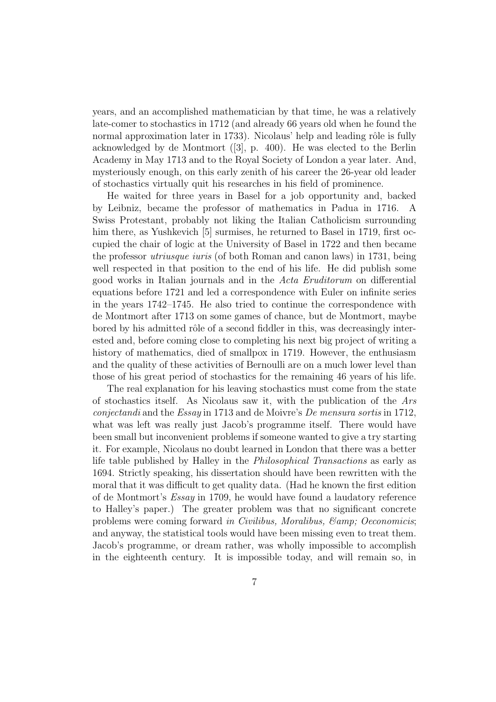years, and an accomplished mathematician by that time, he was a relatively late-comer to stochastics in 1712 (and already 66 years old when he found the normal approximation later in 1733). Nicolaus' help and leading rôle is fully acknowledged by de Montmort ([3], p. 400). He was elected to the Berlin Academy in May 1713 and to the Royal Society of London a year later. And, mysteriously enough, on this early zenith of his career the 26-year old leader of stochastics virtually quit his researches in his field of prominence.

He waited for three years in Basel for a job opportunity and, backed by Leibniz, became the professor of mathematics in Padua in 1716. A Swiss Protestant, probably not liking the Italian Catholicism surrounding him there, as Yushkevich [5] surmises, he returned to Basel in 1719, first occupied the chair of logic at the University of Basel in 1722 and then became the professor utriusque iuris (of both Roman and canon laws) in 1731, being well respected in that position to the end of his life. He did publish some good works in Italian journals and in the Acta Eruditorum on differential equations before 1721 and led a correspondence with Euler on infinite series in the years 1742–1745. He also tried to continue the correspondence with de Montmort after 1713 on some games of chance, but de Montmort, maybe bored by his admitted rôle of a second fiddler in this, was decreasingly interested and, before coming close to completing his next big project of writing a history of mathematics, died of smallpox in 1719. However, the enthusiasm and the quality of these activities of Bernoulli are on a much lower level than those of his great period of stochastics for the remaining 46 years of his life.

The real explanation for his leaving stochastics must come from the state of stochastics itself. As Nicolaus saw it, with the publication of the Ars conjectandi and the Essay in 1713 and de Moivre's De mensura sortis in 1712, what was left was really just Jacob's programme itself. There would have been small but inconvenient problems if someone wanted to give a try starting it. For example, Nicolaus no doubt learned in London that there was a better life table published by Halley in the Philosophical Transactions as early as 1694. Strictly speaking, his dissertation should have been rewritten with the moral that it was difficult to get quality data. (Had he known the first edition of de Montmort's Essay in 1709, he would have found a laudatory reference to Halley's paper.) The greater problem was that no significant concrete problems were coming forward in Civilibus, Moralibus,  $\mathcal{B}$ amp; Oeconomicis; and anyway, the statistical tools would have been missing even to treat them. Jacob's programme, or dream rather, was wholly impossible to accomplish in the eighteenth century. It is impossible today, and will remain so, in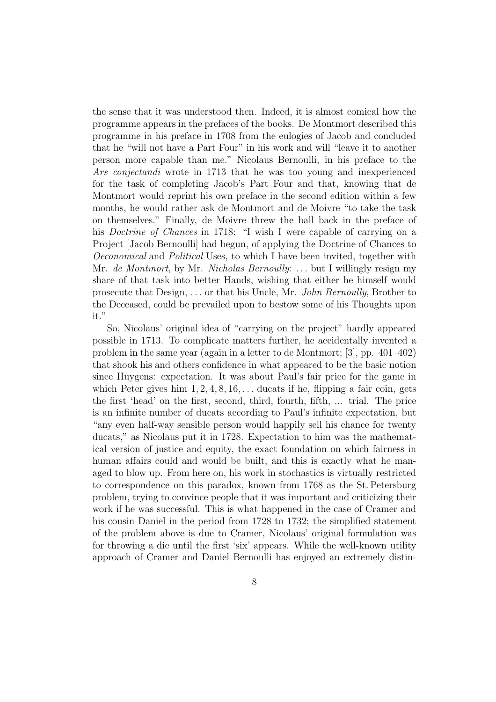the sense that it was understood then. Indeed, it is almost comical how the programme appears in the prefaces of the books. De Montmort described this programme in his preface in 1708 from the eulogies of Jacob and concluded that he "will not have a Part Four" in his work and will "leave it to another person more capable than me." Nicolaus Bernoulli, in his preface to the Ars conjectandi wrote in 1713 that he was too young and inexperienced for the task of completing Jacob's Part Four and that, knowing that de Montmort would reprint his own preface in the second edition within a few months, he would rather ask de Montmort and de Moivre "to take the task on themselves." Finally, de Moivre threw the ball back in the preface of his *Doctrine of Chances* in 1718: "I wish I were capable of carrying on a Project [Jacob Bernoulli] had begun, of applying the Doctrine of Chances to Oeconomical and Political Uses, to which I have been invited, together with Mr. de Montmort, by Mr. Nicholas Bernoully: ... but I willingly resign my share of that task into better Hands, wishing that either he himself would prosecute that Design, . . . or that his Uncle, Mr. John Bernoully, Brother to the Deceased, could be prevailed upon to bestow some of his Thoughts upon it."

So, Nicolaus' original idea of "carrying on the project" hardly appeared possible in 1713. To complicate matters further, he accidentally invented a problem in the same year (again in a letter to de Montmort; [3], pp. 401–402) that shook his and others confidence in what appeared to be the basic notion since Huygens: expectation. It was about Paul's fair price for the game in which Peter gives him  $1, 2, 4, 8, 16, \ldots$  ducats if he, flipping a fair coin, gets the first 'head' on the first, second, third, fourth, fifth, ... trial. The price is an infinite number of ducats according to Paul's infinite expectation, but "any even half-way sensible person would happily sell his chance for twenty ducats," as Nicolaus put it in 1728. Expectation to him was the mathematical version of justice and equity, the exact foundation on which fairness in human affairs could and would be built, and this is exactly what he managed to blow up. From here on, his work in stochastics is virtually restricted to correspondence on this paradox, known from 1768 as the St. Petersburg problem, trying to convince people that it was important and criticizing their work if he was successful. This is what happened in the case of Cramer and his cousin Daniel in the period from 1728 to 1732; the simplified statement of the problem above is due to Cramer, Nicolaus' original formulation was for throwing a die until the first 'six' appears. While the well-known utility approach of Cramer and Daniel Bernoulli has enjoyed an extremely distin